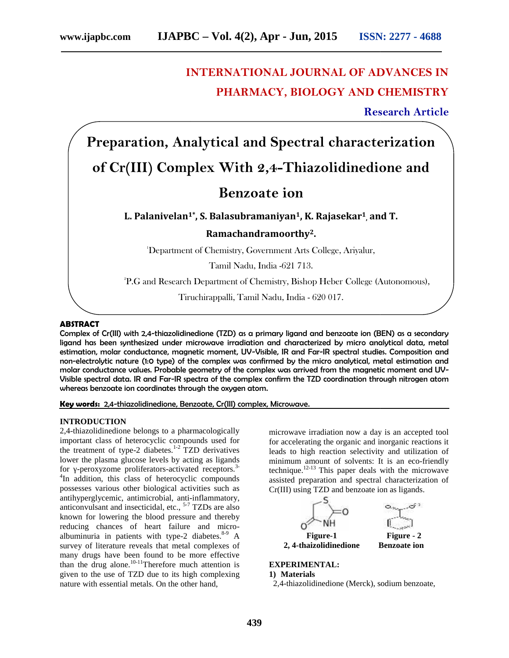# **INTERNATIONAL JOURNAL OF ADVANCES IN PHARMACY, BIOLOGY AND CHEMISTRY**

**Research Article Research Article**

**Preparation, Analytical and Spectral characterization of Cr(III) Complex With 2,4-Thiazolidinedione and**

## **Benzoate ion**

## **L. Palanivelan1\*, S. Balasubramaniyan1, K. Rajasekar<sup>1</sup> , and T.**

## **Ramachandramoorthy2.**

<sup>1</sup>Department of Chemistry, Government Arts College, Ariyalur,

Tamil Nadu, India -621 713.

 $^{2}P.G$  and Research Department of Chemistry, Bishop Heber College (Autonomous),  $\,$ 

Tiruchirappalli, Tamil Nadu, India - 620 017. Tiruchirappalli, Tamil 017.

#### **ABSTRACT ABSTRACT**

Complex of Cr(III) with 2,4-thiazolidinedione (TZD) as a primary ligand and benzoate ion (BEN) as a secondary ligand has been synthesized under microwave irradiation and characterized by micro analytical data, metal estimation, molar conductance, magnetic moment, UV-Visible, IR and Far-IR spectral studies. Composition and Far-IRnon-electrolytic nature (1:0 type) of the complex was confirmed by the micro analytical, metal estimation and molar conductance values. Probable geometry of the complex was arrived from the magnetic moment and UV-<br>Visible spectral data. IR and Far-IR spectra of the complex confirm the TZD coordination through nitrogen atom<br>whereas Visible spectral data. IR and Far-IR spectra of the complex confirm the TZD coordination through nitrogen atom whereas benzoate ion coordinates through the oxygen atom. **Example 12**<br> **Benzoate ion**<br> **Benzoate ion**<br> **Benzoate ion**<br> **Benzoate ion**<br> **Benzoate ion**<br> **Benzoate ion**<br> **Benzoate ion**<br> **Benzoate ion**<br> **Benzoate ion**<br> **Benzoate ion**<br> **Benzoate ion**<br> **Benzoate ion**<br> **Benzoate ion**<br>

**Key words:** 2,4-thiazolidinedione, Benzoate, Cr(III) complex, Microwave. **words:**

## **INTRODUCTION**

2,4-thiazolidinedione belongs to a pharmacologically important class of heterocyclic compounds used for the treatment of type-2 diabetes.<sup>1-2</sup> TZD derivatives lower the plasma glucose levels by acting as ligands for -peroxyzome proliferators-activated receptors.<sup>3-</sup> In addition, this class of heterocyclic compounds possesses various other biological activities such as antihyperglycemic, antimicrobial, anti-inflammatory, anticonvulsant and insecticidal, etc.,  $5-7$  TZDs are also known for lowering the blood pressure and thereby reducing chances of heart failure and micro albuminuria in patients with type-2 diabetes. $8-9$  A survey of literature reveals that metal complexes of many drugs have been found to be more effective than the drug alone.<sup>10-11</sup>Therefore much attention is given to the use of TZD due to its high complexing nature with essential metals. On the other hand, ortant class of heterocyclic compounds used for<br>treatment of type-2 diabetes.<sup>1-2</sup> TZD derivatives<br>er the plasma glucose levels by acting as ligands<br>-peroxyzome proliferators-activated receptors.<sup>3-</sup><br>addition, this class o for lowering the blood pressure and thereby<br>g chances of heart failure and micro-<br>uria in patients with type-2 diabetes.<sup>8-9</sup> A<br>of literature reveals that metal complexes of<br>lrugs have been found to be more effective iazolidinedione belongs to a pharmacologically<br>
microwave irradiation now a day is an accepted tool<br>
reatment of type-2 diabetes.<sup>1,2</sup> TZD derivatives<br>
leads to high reaction selectivity and ulilization of<br>
the plasma glu

microwave irradiation now a day is an accepted tool for accelerating the organic and inorganic reactions it leads to high reaction selectivity and utilization of minimum amount of solvents: It is an eco-friendly technique. $12-13$  This paper deals with the microwave assisted preparation and spectral characterization of Cr(III) using TZD and benzoate ion as ligands.



## **EXPERIMENTAL:**

#### **1) Materials**

2,4-thiazolidinedione (Merck), sodium benzoate,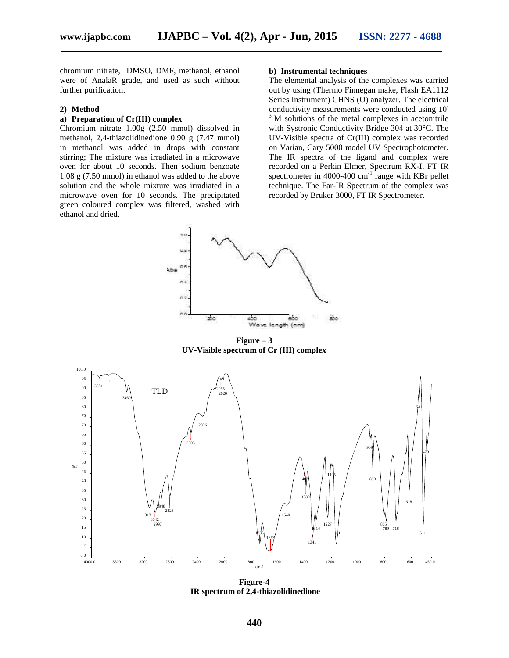chromium nitrate, DMSO, DMF, methanol, ethanol were of AnalaR grade, and used as such without further purification.

#### **2) Method**

## **a) Preparation of Cr(III) complex**

Chromium nitrate 1.00g (2.50 mmol) dissolved in methanol, 2,4-thiazolidinedione 0.90 g (7.47 mmol) in methanol was added in drops with constant stirring; The mixture was irradiated in a microwave oven for about 10 seconds. Then sodium benzoate 1.08 g (7.50 mmol) in ethanol was added to the above solution and the whole mixture was irradiated in a microwave oven for 10 seconds. The precipitated green coloured complex was filtered, washed with ethanol and dried.

#### **b) Instrumental techniques**

The elemental analysis of the complexes was carried out by using (Thermo Finnegan make, Flash EA1112 Series Instrument) CHNS (O) analyzer. The electrical conductivity measurements were conducted using 10<sup>-3</sup> M solutions of the metal complexes in acetonitrile with Systronic Conductivity Bridge 304 at 30°C. The UV-Visible spectra of Cr(III) complex was recorded on Varian, Cary 5000 model UV Spectrophotometer. The IR spectra of the ligand and complex were recorded on a Perkin Elmer, Spectrum RX-I, FT IR spectrometer in 4000-400  $\text{cm}^{-1}$  range with KBr pellet technique. The Far-IR Spectrum of the complex was recorded by Bruker 3000, FT IR Spectrometer.



 $Figure - 3$ **UV-Visible spectrum of Cr (III) complex**



**Figure-4 IR spectrum of 2,4-thiazolidinedione**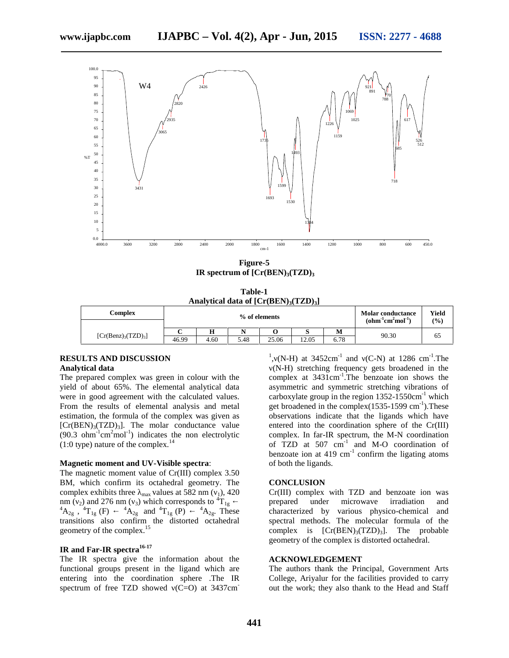

**Figure-5 IR spectrum of [Cr(BEN)3(TZD)<sup>3</sup>**

**Table-1 Analytical data of [Cr(BEN)3(TZD)3]**

| Complex                   | % of elements |      |      |       |       | <b>Molar conductance</b><br>$(ohm-1cm2mol-1)$ | Yield<br>(0/0) |    |
|---------------------------|---------------|------|------|-------|-------|-----------------------------------------------|----------------|----|
|                           |               |      |      |       |       | M                                             | 90.30          | 65 |
| $[Cr(Benz)_{3}(TZD)_{3}]$ | 46.99         | 4.60 | 5.48 | 25.06 | 12.05 | 6.78                                          |                |    |

## **RESULTS AND DISCUSSION Analytical data**

The prepared complex was green in colour with the yield of about 65%. The elemental analytical data were in good agreement with the calculated values. From the results of elemental analysis and metal estimation, the formula of the complex was given as  $[Cr(BEN)_{3}(TZD)_{3}]$ . The molar conductance value  $(90.3 \text{ ohm}^{-1} \text{cm}^2 \text{mol}^{-1})$  indicates the non electrolytic  $(1:0$  type) nature of the complex.<sup>14</sup>

#### **Magnetic moment and UV-Visible spectra**:

The magnetic moment value of Cr(III) complex 3.50 BM, which confirm its octahedral geometry. The complex exhibits three  $_{\text{max}}$  values at 582 nm ( $_1$ ), 420 nm (2) and 276 nm (3) which corresponds to  ${}^{4}T_{1g}$ <br> ${}^{4}A_{2g}$ ,  ${}^{4}T_{1g}$  (F)  ${}^{4}A_{2g}$  and  ${}^{4}T_{1g}$  (P)  ${}^{4}A_{2g}$ . These  ${}^{4}A_{2g}$  and  ${}^{4}T_{1g}$  (P) transitions also confirm the distorted octahedral geometry of the complex.<sup>15</sup>

### **IR and Far-IR spectra16-17**

The IR spectra give the information about the functional groups present in the ligand which are entering into the coordination sphere .The IR spectrum of free TZD showed  $(C=O)$  at 3437cm

<sup>1</sup>, (N-H) at  $3452 \text{cm}^{-1}$  and (C-N) at 1286 cm<sup>-1</sup>. The (N-H) stretching frequency gets broadened in the complex at  $3431 \text{cm}^{-1}$ . The benzoate ion shows the asymmetric and symmetric stretching vibrations of carboxylate group in the region  $1352-1550 \text{cm}^{-1}$  which get broadened in the complex $(1535-1599 \text{ cm}^{-1})$ . These observations indicate that the ligands which have entered into the coordination sphere of the Cr(III) complex. In far-IR spectrum, the M-N coordination of TZD at 507 cm-1 and M-O coordination of benzoate ion at  $419 \text{ cm}^{-1}$  confirm the ligating atoms of both the ligands.

#### **CONCLUSION**

Cr(III) complex with TZD and benzoate ion was prepared under microwave irradiation and characterized by various physico-chemical and spectral methods. The molecular formula of the complex is  $[Cr(BEN)_{3}(TZD)_{3}]$ . The probable geometry of the complex is distorted octahedral.

## **ACKNOWLEDGEMENT**

The authors thank the Principal, Government Arts College, Ariyalur for the facilities provided to carry out the work; they also thank to the Head and Staff